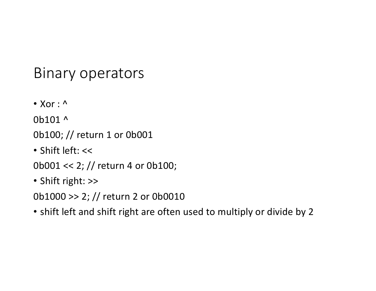### Binary operators

 $\bullet$  Xor :  $\wedge$ 

0b101 ^

0b100; // return 1 or 0b001

• Shift left: <<

0b001 << 2; // return 4 or 0b100;

• Shift right: >>

0b1000 >> 2; // return 2 or 0b0010

• shift left and shift right are often used to multiply or divide by 2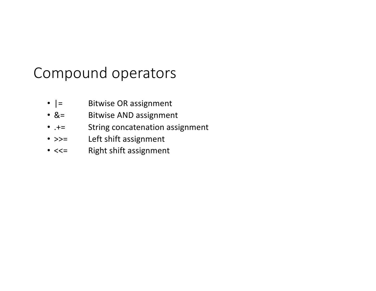### Compound operators

- $|$  = Bitwise OR assignment
- &= Bitwise AND assignment
- .+= String concatenation assignment
- >>= Left shift assignment
- <<= Right shift assignment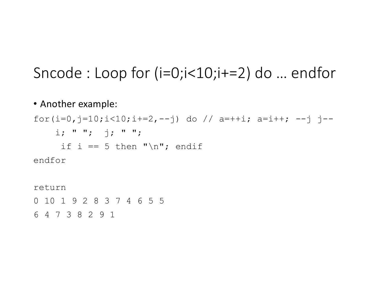## Sncode : Loop for (i=0;i<10;i+=2) do … endfor

#### • Another example:

for(i=0,j=10;i<10;i+=2,--j) do // a=++i; a=i++; --j j- $i; " " ; " j; " " ;$ if i == 5 then " $\n\times$ "; endif endfor return

0 10 1 9 2 8 3 7 4 6 5 5

6 4 7 3 8 2 9 1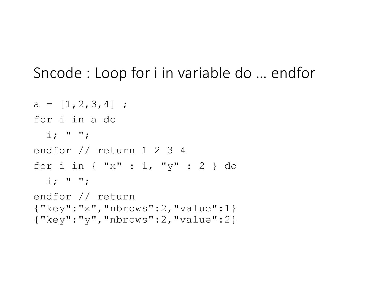### Sncode : Loop for i in variable do … endfor

```
a = [1, 2, 3, 4];
for i in a do
  i: " " "endfor // return 1 2 3 4
for i in { "x" : 1, "y" : 2 } do
  i: " " "endfor // return 
{"key":"x","nbrows":2,"value":1} 
{"key":"y","nbrows":2,"value":2}
```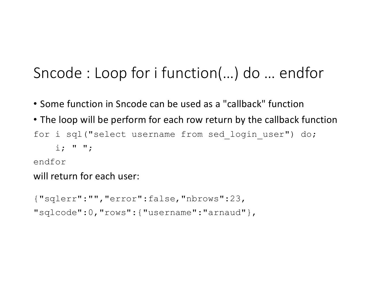# Sncode : Loop for i function(…) do … endfor

- Some function in Sncode can be used as a "callback" function
- The loop will be perform for each row return by the callback function for i sql("select username from sed login user") do;  $i: " " "$

#### endfor

#### will return for each user:

```
{"sqlerr":"","error":false,"nbrows":23,
"sqlcode":0,"rows":{"username":"arnaud"},
```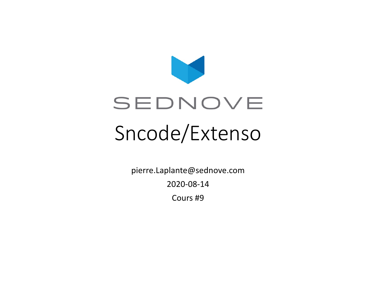

pierre.Laplante@sednove.com

2020-08-14

Cours #9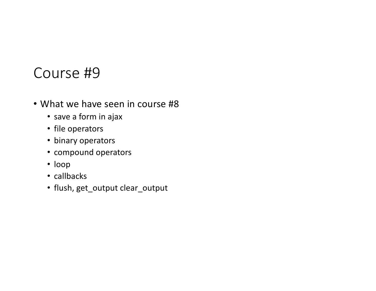#### Course #9

- What we have seen in course #8
	- save a form in ajax
	- file operators
	- binary operators
	- compound operators
	- loop
	- callbacks
	- flush, get\_output clear\_output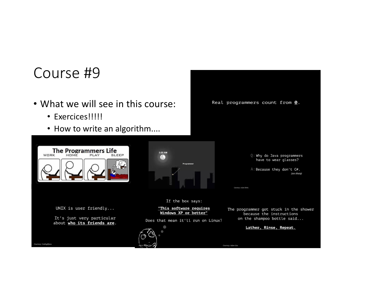### Course #9

- What we will see in this course:
	- Exercices!!!!!

The Programmers Life

UNIX is user friendly...

It's just very particular

about who its friends are.

• How to write an algorithm....

**SLEEP** 

O Why do Java programmers have to wear glasses?

Real programmers count from 0.

Courtesy: Arjan Einbu

Courtesy: Adam Liss

A: Because they don't C#. (see sharp)

The programmer got stuck in the shower because the instructions on the shampoo bottle said...

Lather, Rinse, Repeat.



Program

If the box says:

"This software requires

Windows XP or better"

Does that mean it'll run on Linux?

 $3:00$  AM

6

Courtesy: CodingBytes

WORK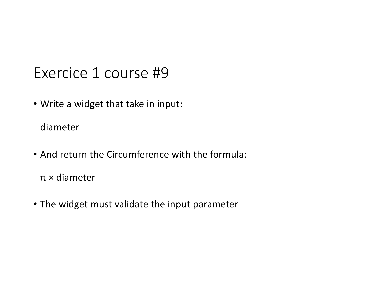### Exercice 1 course #9

• Write a widget that take in input:

diameter

• And return the Circumference with the formula:

π × diameter

• The widget must validate the input parameter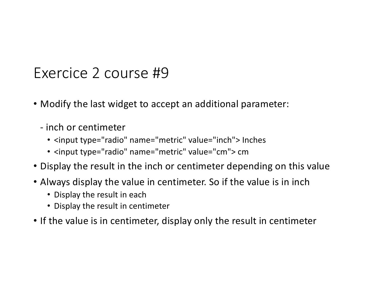### Exercice 2 course #9

- Modify the last widget to accept an additional parameter:
	- inch or centimeter
		- <input type="radio" name="metric" value="inch"> Inches
		- <input type="radio" name="metric" value="cm"> cm
- Display the result in the inch or centimeter depending on this value
- Always display the value in centimeter. So if the value is in inch
	- Display the result in each
	- Display the result in centimeter
- If the value is in centimeter, display only the result in centimeter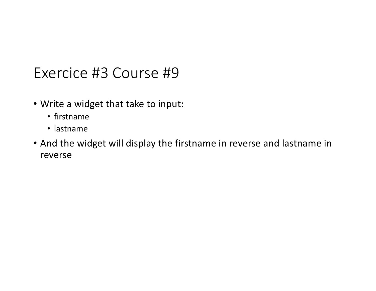### Exercice #3 Course #9

- Write a widget that take to input:
	- firstname
	- lastname
- And the widget will display the firstname in reverse and lastname in reverse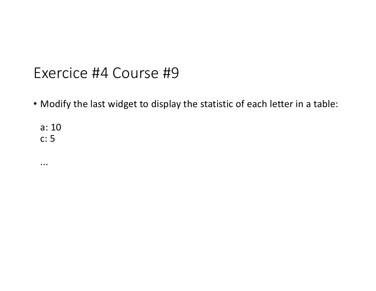#### Exercice #4 Course #9

• Modify the last widget to display the statistic of each letter in a table:

a: 10 c: 5

...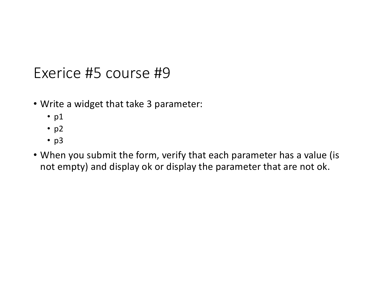#### Exerice #5 course #9

- Write a widget that take 3 parameter:
	- p1
	- $\n *p2*\n$
	- p3
- When you submit the form, verify that each parameter has a value (is not empty) and display ok or display the parameter that are not ok.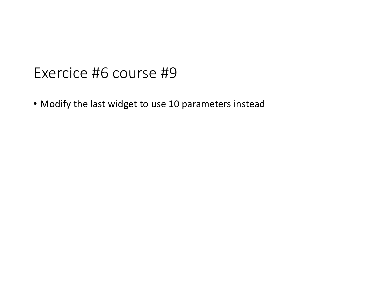#### Exercice #6 course #9

• Modify the last widget to use 10 parameters instead